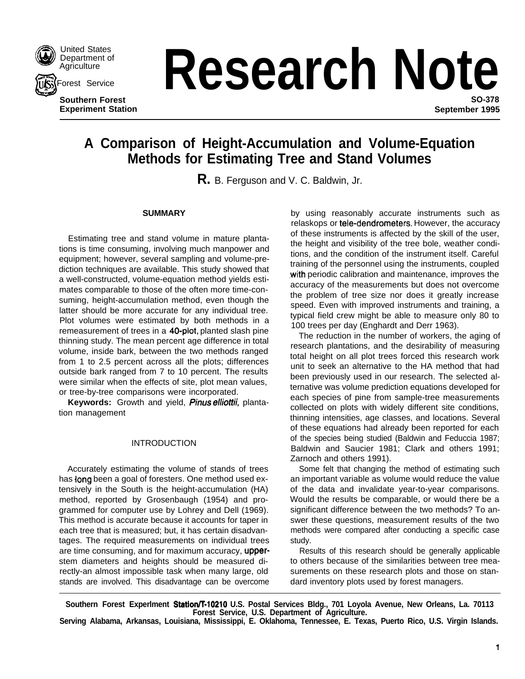

ius (

United States<br>Department of<br>Agriculture **Agriculture** 

orest Service

**Southern Forest**

# **Research Note SO-378**

**Experiment Station September 1995**

# **A Comparison of Height-Accumulation and Volume-Equation Methods for Estimating Tree and Stand Volumes**

**R.** B. Ferguson and V. C. Baldwin, Jr.

# **SUMMARY**

Estimating tree and stand volume in mature plantations is time consuming, involving much manpower and equipment; however, several sampling and volume-prediction techniques are available. This study showed that a well-constructed, volume-equation method yields estimates comparable to those of the often more time-consuming, height-accumulation method, even though the latter should be more accurate for any individual tree. Plot volumes were estimated by both methods in a remeasurement of trees in a 40-plot, planted slash pine thinning study. The mean percent age difference in total volume, inside bark, between the two methods ranged from 1 to 2.5 percent across all the plots; differences outside bark ranged from 7 to 10 percent. The results were similar when the effects of site, plot mean values, or tree-by-tree comparisons were incorporated.

Keywords: Growth and yield, *Pinus elliottii*, plantation management

# INTRODUCTION

Accurately estimating the volume of stands of trees has long been a goal of foresters. One method used extensively in the South is the height-accumulation (HA) method, reported by Grosenbaugh (1954) and programmed for computer use by Lohrey and Dell (1969). This method is accurate because it accounts for taper in each tree that is measured; but, it has certain disadvantages. The required measurements on individual trees are time consuming, and for maximum accuracy, upperstem diameters and heights should be measured directly-an almost impossible task when many large, old stands are involved. This disadvantage can be overcome

by using reasonably accurate instruments such as relaskops or tele-dendrometers. However, the accuracy of these instruments is affected by the skill of the user, the height and visibility of the tree bole, weather conditions, and the condition of the instrument itself. Careful training of the personnel using the instruments, coupled .with periodic calibration and maintenance, improves the accuracy of the measurements but does not overcome the problem of tree size nor does it greatly increase speed. Even with improved instruments and training, a typical field crew might be able to measure only 80 to 100 trees per day (Enghardt and Derr 1963).

The reduction in the number of workers, the aging of research plantations, and the desirability of measuring total height on all plot trees forced this research work unit to seek an alternative to the HA method that had been previously used in our research. The selected alternative was volume prediction equations developed for each species of pine from sample-tree measurements collected on plots with widely different site conditions, thinning intensities, age classes, and locations. Several of these equations had already been reported for each of the species being studied (Baldwin and Feduccia 1987; Baldwin and Saucier 1981; Clark and others 1991; Zarnoch and others 1991).

Some felt that changing the method of estimating such an important variable as volume would reduce the value of the data and invalidate year-to-year comparisons. Would the results be comparable, or would there be a significant difference between the two methods? To answer these questions, measurement results of the two methods were compared after conducting a specific case study.

Results of this research should be generally applicable to others because of the similarities between tree measurements on these research plots and those on standard inventory plots used by forest managers.

**Southern Forest Experlment Station/T-10210 U.S. Postal Services Bldg., 701 Loyola Avenue, New Orleans, La. 70113 Forest Service, U.S. Department of Agriculture.**

**Serving Alabama, Arkansas, Louisiana, Mississippi, E. Oklahoma, Tennessee, E. Texas, Puerto Rico, U.S. Virgin Islands.**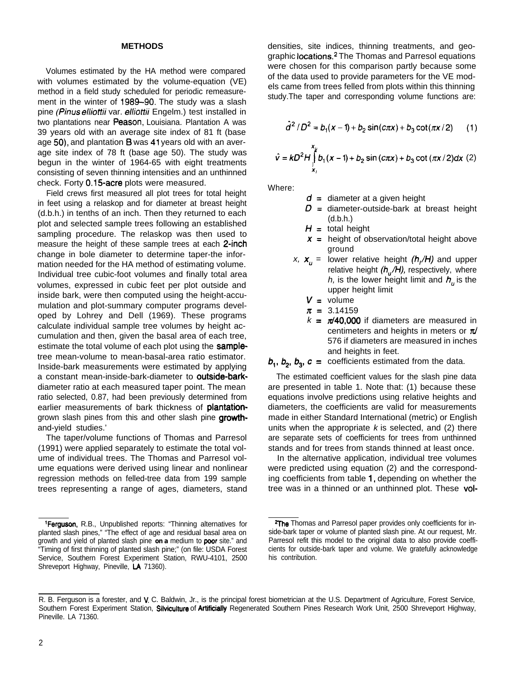#### **METHODS**

Volumes estimated by the HA method were compared with volumes estimated by the volume-equation (VE) method in a field study scheduled for periodic remeasurement in the winter of 1989-90. The study was a slash pine (Pinus *elhotfii* var. *elliottii* Engelm.) test installed in two plantations near Peason, Louisiana. Plantation A was 39 years old with an average site index of 81 ft (base age 50), and plantation B was 41 years old with an average site index of 78 ft (base age 50). The study was begun in the winter of 1964-65 with eight treatments consisting of seven thinning intensities and an unthinned check. Forty 0.15-acre plots were measured.

Field crews first measured all plot trees for total height in feet using a relaskop and for diameter at breast height (d.b.h.) in tenths of an inch. Then they returned to each plot and selected sample trees following an established sampling procedure. The relaskop was then used to measure the height of these sample trees at each 2-inch change in bole diameter to determine taper-the information needed for the HA method of estimating volume. Individual tree cubic-foot volumes and finally total area volumes, expressed in cubic feet per plot outside and inside bark, were then computed using the height-accumulation and plot-summary computer programs developed by Lohrey and Dell (1969). These programs calculate individual sample tree volumes by height accumulation and then, given the basal area of each tree, estimate the total volume of each plot using the **sample**tree mean-volume to mean-basal-area ratio estimator. Inside-bark measurements were estimated by applying a constant mean-inside-bark-diameter to outside-barkdiameter ratio at each measured taper point. The mean ratio selected, 0.87, had been previously determined from earlier measurements of bark thickness of **plantation**grown slash pines from this and other slash pine growthand-yield studies.'

The taper/volume functions of Thomas and Parresol (1991) were applied separately to estimate the total volume of individual trees. The Thomas and Parresol volume equations were derived using linear and nonlinear regression methods on felled-tree data from 199 sample trees representing a range of ages, diameters, stand densities, site indices, thinning treatments, and geographic locations.2 The Thomas and Parresol equations were chosen for this comparison partly because some of the data used to provide parameters for the VE models came from trees felled from plots within this thinning study.The taper and corresponding volume functions are:

$$
\hat{d}^2/D^2 = b_1(x-1) + b_2 \sin(c\pi x) + b_3 \cot(\pi x/2)
$$
 (1)  

$$
\hat{v} = kD^2H \int b_1(x-1) + b_2 \sin(c\pi x) + b_3 \cot(\pi x/2) dx
$$
 (2)

Where:

- *d=* diameter at a given height
	- *D=* diameter-outside-bark at breast height (d.b.h.)
	- $H = \text{total height}$

 $\check{\mathbf{x}}_i$ 

- height of observation/total height above *x=* ground
- x,  $\mathbf{x}_u =$  lower relative height  $(h_i/H)$  and upper relative height (h<sub>u</sub>/H), respectively, where *h*, is the lower height limit and  $h_{\mu}$  is the upper height limit

$$
V =
$$
 volume

- $\pi = 3.14159$
- $k = \pi/40,000$  if diameters are measured in centimeters and heights in meters or  $\pi$ 576 if diameters are measured in inches and heights in feet.

 $b_1$ ,  $b_2$ ,  $b_3$ ,  $c =$  coefficients estimated from the data.

The estimated coefficient values for the slash pine data are presented in table 1. Note that: (1) because these equations involve predictions using relative heights and diameters, the coefficients are valid for measurements made in either Standard International (metric) or English units when the appropriate *k* is selected, and (2) there are separate sets of coefficients for trees from unthinned stands and for trees from stands thinned at least once.

In the alternative application, individual tree volumes were predicted using equation (2) and the corresponding coefficients from table 1, depending on whether the tree was in a thinned or an unthinned plot. These vol-

<sup>&</sup>lt;sup>1</sup>Ferguson, R.B., Unpublished reports: "Thinning alternatives for planted slash pines," "The effect of age and residual basal area on growth and yield of planted slash pine *on a* medium to *poor* site." and "Timing of first thinning of planted slash pine;" (on file: USDA Forest Service, Southern Forest Experiment Station, RWU-4101, 2500 Shreveport Highway, Pineville, LA 71360).

<sup>&</sup>lt;sup>2</sup>The Thomas and Parresol paper provides only coefficients for inside-bark taper or volume of planted slash pine. At our request, Mr. Parresol refit this model to the original data to also provide coefficients for outside-bark taper and volume. We gratefully acknowledge his contribution.

R. B. Ferguson is a forester, and V. C. Baldwin, Jr., is the principal forest biometrician at the U.S. Department of Agriculture, Forest Service, Southern Forest Experiment Station, Silviculture of Artificially Regenerated Southern Pines Research Work Unit, 2500 Shreveport Highway, Pineville. LA 71360.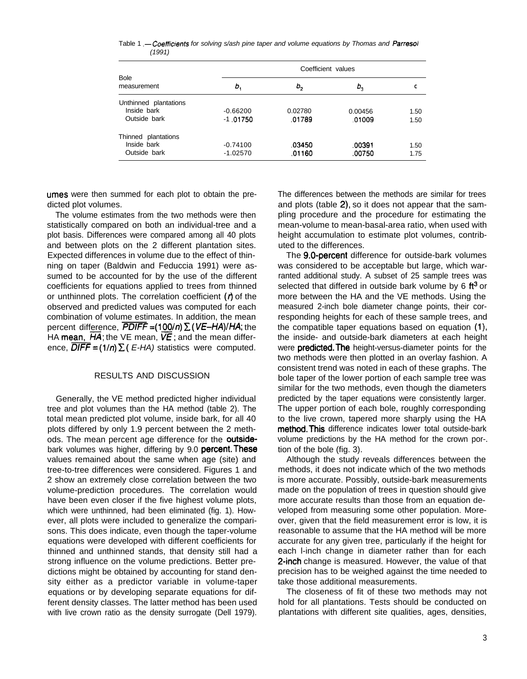Table 1 *.-Coeffioents for solving s/ash pine taper and volume equations by Thomas and Parresol (1991)*

| <b>Bole</b><br>measurement                           | Coefficient values       |                   |                   |              |  |  |  |
|------------------------------------------------------|--------------------------|-------------------|-------------------|--------------|--|--|--|
|                                                      | ь,                       | ь,                | $b_{3}$           | С            |  |  |  |
| Unthinned plantations<br>Inside bark<br>Outside bark | $-0.66200$<br>$-1.01750$ | 0.02780<br>.01789 | 0.00456<br>.01009 | 1.50<br>1.50 |  |  |  |
| Thinned plantations<br>Inside bark<br>Outside bark   | $-0.74100$<br>$-1.02570$ | .03450<br>.01160  | .00391<br>.00750  | 1.50<br>1.75 |  |  |  |

umes were then summed for each plot to obtain the predicted plot volumes.

The volume estimates from the two methods were then statistically compared on both an individual-tree and a plot basis. Differences were compared among all 40 plots and between plots on the 2 different plantation sites. Expected differences in volume due to the effect of thinning on taper (Baldwin and Feduccia 1991) were assumed to be accounted for by the use of the different coefficients for equations applied to trees from thinned or unthinned plots. The correlation coefficient  $(1)$  of the observed and predicted values was computed for each combination of volume estimates. In addition, the mean percent difference, *PDlfF =(100/n) Z (VE-HA)IHA;* the HA mean,  $HA$ ; the VE mean,  $VE$ ; and the mean difference,  $\overline{DIFF} = (1/n) \sum (E-HA)$  statistics were computed.

# RESULTS AND DISCUSSION

Generally, the VE method predicted higher individual tree and plot volumes than the HA method (table 2). The total mean predicted plot volume, inside bark, for all 40 plots differed by only 1.9 percent between the 2 methods. The mean percent age difference for the outsidebark volumes was higher, differing by 9.0 percent. These values remained about the same when age (site) and tree-to-tree differences were considered. Figures 1 and 2 show an extremely close correlation between the two volume-prediction procedures. The correlation would have been even closer if the five highest volume plots, which were unthinned, had been eliminated (fig. 1). However, all plots were included to generalize the comparisons. This does indicate, even though the taper-volume equations were developed with different coefficients for thinned and unthinned stands, that density still had a strong influence on the volume predictions. Better predictions might be obtained by accounting for stand density either as a predictor variable in volume-taper equations or by developing separate equations for different density classes. The latter method has been used with live crown ratio as the density surrogate (Dell 1979).

The differences between the methods are similar for trees and plots (table 2), so it does not appear that the sampling procedure and the procedure for estimating the mean-volume to mean-basal-area ratio, when used with height accumulation to estimate plot volumes, contributed to the differences.

The 9.0-percent difference for outside-bark volumes was considered to be acceptable but large, which warranted additional study. A subset of 25 sample trees was selected that differed in outside bark volume by 6  $ft<sup>3</sup>$  or more between the HA and the VE methods. Using the measured 2-inch bole diameter change points, their corresponding heights for each of these sample trees, and the compatible taper equations based on equation (1) the inside- and outside-bark diameters at each height were **predicted. The** height-versus-diameter points for the two methods were then plotted in an overlay fashion. A consistent trend was noted in each of these graphs. The bole taper of the lower portion of each sample tree was similar for the two methods, even though the diameters predicted by the taper equations were consistently larger. The upper portion of each bole, roughly corresponding to the live crown, tapered more sharply using the HA method.This difference indicates lower total outside-bark volume predictions by the HA method for the crown por-. tion of the bole (fig. 3).

Although the study reveals differences between the methods, it does not indicate which of the two methods is more accurate. Possibly, outside-bark measurements made on the population of trees in question should give more accurate results than those from an equation developed from measuring some other population. Moreover, given that the field measurement error is low, it is reasonable to assume that the HA method will be more accurate for any given tree, particularly if the height for each l-inch change in diameter rather than for each 2-inch change is measured. However, the value of that precision has to be weighed against the time needed to take those additional measurements.

The closeness of fit of these two methods may not hold for all plantations. Tests should be conducted on plantations with different site qualities, ages, densities,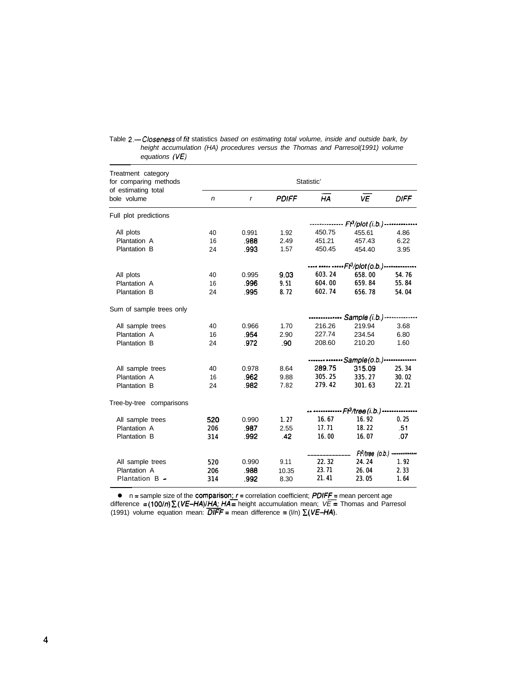| Treatment category<br>for comparing methods<br>of estimating total<br>bole volume | Statistic'                                                  |                                                            |              |                     |           |             |  |
|-----------------------------------------------------------------------------------|-------------------------------------------------------------|------------------------------------------------------------|--------------|---------------------|-----------|-------------|--|
|                                                                                   | n                                                           | r                                                          | <b>PDIFF</b> | HA                  | <b>VE</b> | <b>DIFF</b> |  |
| Full plot predictions                                                             |                                                             |                                                            |              |                     |           |             |  |
|                                                                                   |                                                             | -------------- Ft <sup>3</sup> /plot (i.b.) -------------- |              |                     |           |             |  |
| All plots                                                                         | 40                                                          | 0.991                                                      | 1.92         | 450.75              | 455.61    | 4.86        |  |
| Plantation A                                                                      | 16                                                          | .988                                                       | 2.49         | 451.21              | 457.43    | 6.22        |  |
| Plantation B                                                                      | 24                                                          | .993                                                       | 1.57         | 450.45              | 454.40    | 3.95        |  |
|                                                                                   | ---- ----- ----- Ft <sup>3</sup> /plot (o.b.)-------------- |                                                            |              |                     |           |             |  |
| All plots                                                                         | 40                                                          | 0.995                                                      | 9.03         | 603.24              | 658.00    | 54.76       |  |
| Plantation A                                                                      | 16                                                          | .996                                                       | 9.51         | 604.00              | 659.84    | 55.84       |  |
| Plantation B                                                                      | 24                                                          | .995                                                       | 8.72         | 602.74              | 656.78    | 54.04       |  |
| Sum of sample trees only                                                          |                                                             |                                                            |              |                     |           |             |  |
|                                                                                   |                                                             | Sample (i.b.) -----------                                  |              |                     |           |             |  |
| All sample trees                                                                  | 40                                                          | 0.966                                                      | 1.70         | 216.26              | 219.94    | 3.68        |  |
| Plantation A                                                                      | 16                                                          | .954                                                       | 2.90         | 227.74              | 234.54    | 6.80        |  |
| Plantation B                                                                      | 24                                                          | .972                                                       | .90          | 208.60              | 210.20    | 1.60        |  |
|                                                                                   | ------- ------- Sample(o.b.)--------------                  |                                                            |              |                     |           |             |  |
| All sample trees                                                                  | 40                                                          | 0.978                                                      | 8.64         | 289.75              | 315.09    | 25.34       |  |
| Plantation A                                                                      | 16                                                          | .962                                                       | 9.88         | 305.25              | 335.27    | 30.02       |  |
| Plantation B                                                                      | 24                                                          | .982                                                       | 7.82         | 279.42              | 301.63    | 22.21       |  |
| Tree-by-tree comparisons                                                          |                                                             |                                                            |              |                     |           |             |  |
|                                                                                   |                                                             |                                                            |              |                     |           |             |  |
| All sample trees                                                                  | 520                                                         | 0.990                                                      | 1.27         | 16.67               | 16.92     | 0.25        |  |
| Plantation A                                                                      | 206                                                         | .987                                                       | 2.55         | 17.71               | 18.22     | .51         |  |
| Plantation B                                                                      | 314                                                         | .992                                                       | .42          | 16.00               | 16.07     | 07          |  |
|                                                                                   |                                                             |                                                            |              | $Ft^3$ /tree (0.b.) |           |             |  |
| All sample trees                                                                  | 520                                                         | 0.990                                                      | 9.11         | 22.32               | 24.24     | 1.92        |  |
| Plantation A                                                                      | 206                                                         | .988                                                       | 10.35        | 23.71               | 26.04     | 2.33        |  |
| Plantation B -                                                                    | 314                                                         | .992                                                       | 8.30         | 21.41               | 23.05     | 1.64        |  |

Table 2.-Closeness of fit statistics based on estimating total volume, inside and outside bark, by *height accumulation (HA) procedures versus the Thomas and Parresol(1991) volume equations (VE)*

**e**  $n =$  sample size of the **comparison;**  $r =$  correlation coefficient; **PDIFF** = mean percent age difference = (100/n) *X (VE-HA)/'HA <sup>=</sup>* height accumulation mean; *VE =* Thomas and Parresol  $(1991)$  volume equation mean:  $\overline{DIFF}$  = mean difference =  $(I/n)$   $\Sigma (VE-HA)$ .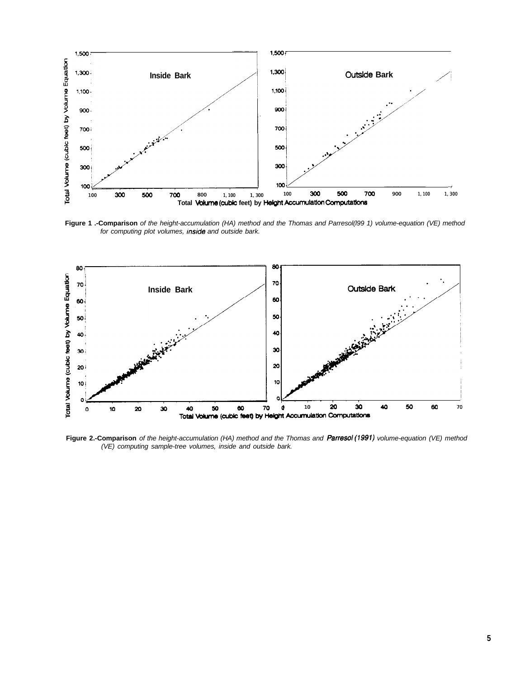

**Figure 1 .-Comparison** *of the height-accumulation (HA) method and the Thomas and Parresol(l99 1) volume-equation (VE) method for computing plot volumes, Inside and outside bark.*



**Figure 2.-Comparison** *of the height-accumulation (HA) method and the Thomas and Parresol(1991) volume-equation (VE) method (VE) computing sample-tree volumes, inside and outside bark.*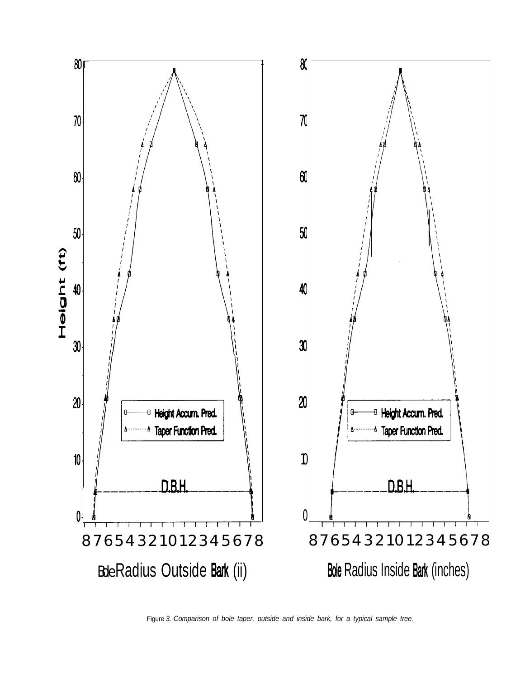

Figure *3.-Comparison of bole taper, outside and inside bark, for a typical sample tree.*